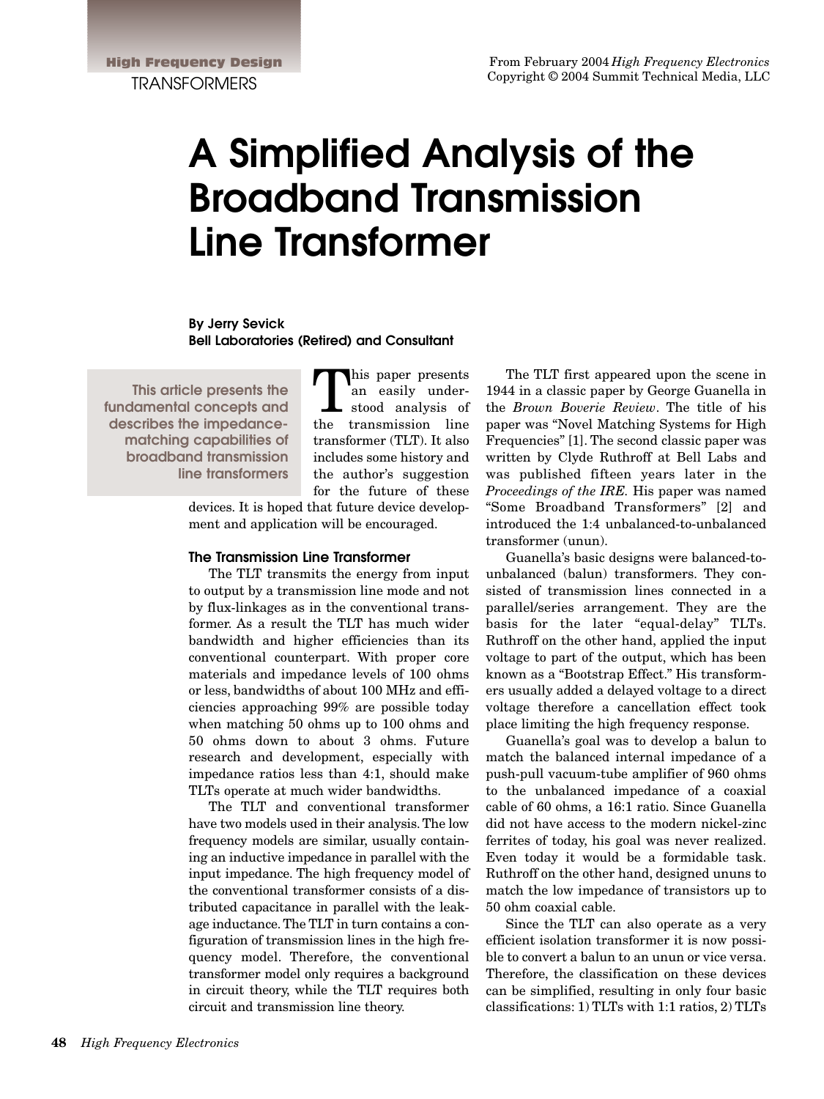# **A Simplified Analysis of the Broadband Transmission Line Transformer**

**By Jerry Sevick Bell Laboratories (Retired) and Consultant**

**This article presents the fundamental concepts and describes the impedancematching capabilities of broadband transmission line transformers** 

This paper presents an easily understood analysis of the transmission line transformer (TLT). It also includes some history and the author's suggestion for the future of these

devices. It is hoped that future device development and application will be encouraged.

# **The Transmission Line Transformer**

The TLT transmits the energy from input to output by a transmission line mode and not by flux-linkages as in the conventional transformer. As a result the TLT has much wider bandwidth and higher efficiencies than its conventional counterpart. With proper core materials and impedance levels of 100 ohms or less, bandwidths of about 100 MHz and efficiencies approaching 99% are possible today when matching 50 ohms up to 100 ohms and 50 ohms down to about 3 ohms. Future research and development, especially with impedance ratios less than 4:1, should make TLTs operate at much wider bandwidths.

The TLT and conventional transformer have two models used in their analysis. The low frequency models are similar, usually containing an inductive impedance in parallel with the input impedance. The high frequency model of the conventional transformer consists of a distributed capacitance in parallel with the leakage inductance. The TLT in turn contains a configuration of transmission lines in the high frequency model. Therefore, the conventional transformer model only requires a background in circuit theory, while the TLT requires both circuit and transmission line theory.

The TLT first appeared upon the scene in 1944 in a classic paper by George Guanella in the *Brown Boverie Review*. The title of his paper was "Novel Matching Systems for High Frequencies" [1]. The second classic paper was written by Clyde Ruthroff at Bell Labs and was published fifteen years later in the *Proceedings of the IRE.* His paper was named "Some Broadband Transformers" [2] and introduced the 1:4 unbalanced-to-unbalanced transformer (unun).

Guanella's basic designs were balanced-tounbalanced (balun) transformers. They consisted of transmission lines connected in a parallel/series arrangement. They are the basis for the later "equal-delay" TLTs. Ruthroff on the other hand, applied the input voltage to part of the output, which has been known as a "Bootstrap Effect." His transformers usually added a delayed voltage to a direct voltage therefore a cancellation effect took place limiting the high frequency response.

Guanella's goal was to develop a balun to match the balanced internal impedance of a push-pull vacuum-tube amplifier of 960 ohms to the unbalanced impedance of a coaxial cable of 60 ohms, a 16:1 ratio. Since Guanella did not have access to the modern nickel-zinc ferrites of today, his goal was never realized. Even today it would be a formidable task. Ruthroff on the other hand, designed ununs to match the low impedance of transistors up to 50 ohm coaxial cable.

Since the TLT can also operate as a very efficient isolation transformer it is now possible to convert a balun to an unun or vice versa. Therefore, the classification on these devices can be simplified, resulting in only four basic classifications: 1) TLTs with 1:1 ratios, 2) TLTs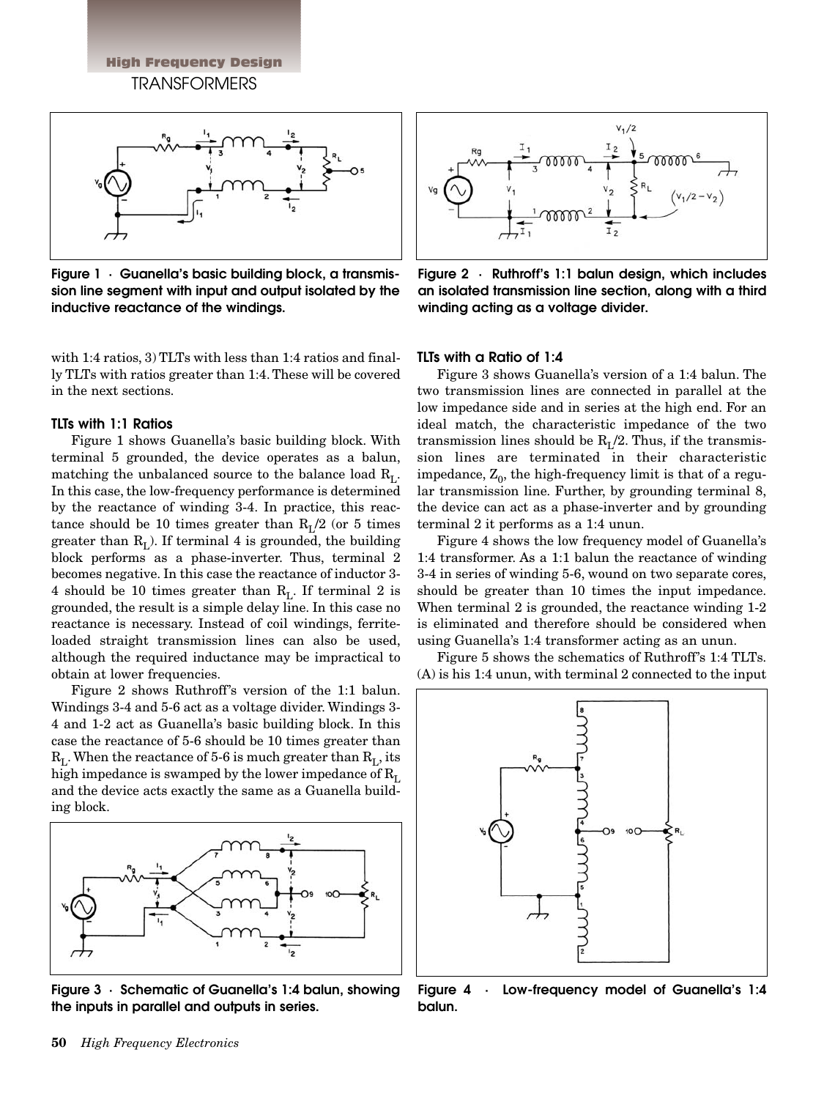High Frequency Design TRANSFORMERS



**Figure 1 · Guanella's basic building block, a transmission line segment with input and output isolated by the inductive reactance of the windings.**

with 1:4 ratios, 3) TLTs with less than 1:4 ratios and finally TLTs with ratios greater than 1:4. These will be covered in the next sections.

# **TLTs with 1:1 Ratios**

Figure 1 shows Guanella's basic building block. With terminal 5 grounded, the device operates as a balun, matching the unbalanced source to the balance load  $R_L$ . In this case, the low-frequency performance is determined by the reactance of winding 3-4. In practice, this reactance should be 10 times greater than  $R_I/2$  (or 5 times greater than  $R<sub>L</sub>$ ). If terminal 4 is grounded, the building block performs as a phase-inverter. Thus, terminal 2 becomes negative. In this case the reactance of inductor 3- 4 should be 10 times greater than  $R_L$ . If terminal 2 is grounded, the result is a simple delay line. In this case no reactance is necessary. Instead of coil windings, ferriteloaded straight transmission lines can also be used, although the required inductance may be impractical to obtain at lower frequencies.

Figure 2 shows Ruthroff's version of the 1:1 balun. Windings 3-4 and 5-6 act as a voltage divider. Windings 3- 4 and 1-2 act as Guanella's basic building block. In this case the reactance of 5-6 should be 10 times greater than  $R_L$ . When the reactance of 5-6 is much greater than  $R_L$ , its high impedance is swamped by the lower impedance of  $R_L$ and the device acts exactly the same as a Guanella building block.



**Figure 3 · Schematic of Guanella's 1:4 balun, showing the inputs in parallel and outputs in series.**



**Figure 2 · Ruthroff's 1:1 balun design, which includes an isolated transmission line section, along with a third winding acting as a voltage divider.**

### **TLTs with a Ratio of 1:4**

Figure 3 shows Guanella's version of a 1:4 balun. The two transmission lines are connected in parallel at the low impedance side and in series at the high end. For an ideal match, the characteristic impedance of the two transmission lines should be  $R_I/2$ . Thus, if the transmission lines are terminated in their characteristic impedance,  $Z_0$ , the high-frequency limit is that of a regular transmission line. Further, by grounding terminal 8, the device can act as a phase-inverter and by grounding terminal 2 it performs as a 1:4 unun.

Figure 4 shows the low frequency model of Guanella's 1:4 transformer. As a 1:1 balun the reactance of winding 3-4 in series of winding 5-6, wound on two separate cores, should be greater than 10 times the input impedance. When terminal 2 is grounded, the reactance winding 1-2 is eliminated and therefore should be considered when using Guanella's 1:4 transformer acting as an unun.

Figure 5 shows the schematics of Ruthroff's 1:4 TLTs. (A) is his 1:4 unun, with terminal 2 connected to the input



**Figure 4 · Low-frequency model of Guanella's 1:4 balun.**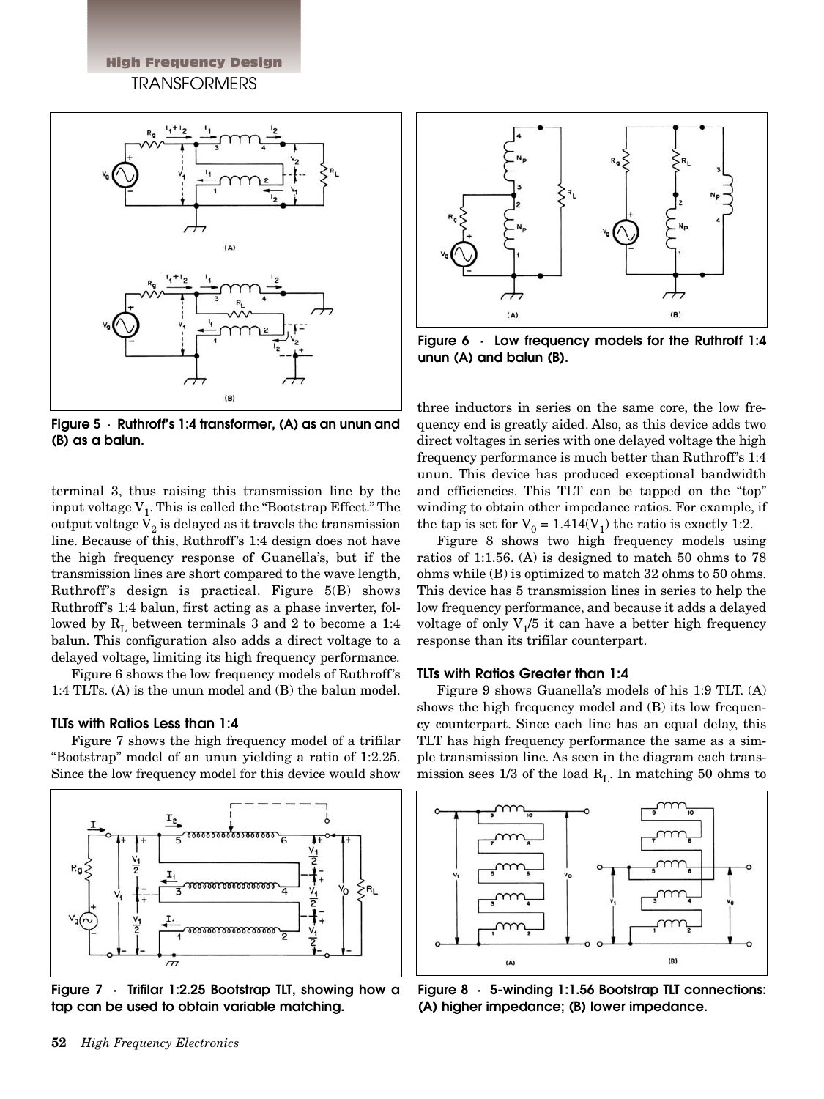High Frequency Design TRANSFORMERS



**Figure 5 · Ruthroff's 1:4 transformer, (A) as an unun and (B) as a balun.**

terminal 3, thus raising this transmission line by the input voltage  $V_1$ . This is called the "Bootstrap Effect." The output voltage  $V_2$  is delayed as it travels the transmission line. Because of this, Ruthroff's 1:4 design does not have the high frequency response of Guanella's, but if the transmission lines are short compared to the wave length, Ruthroff's design is practical. Figure 5(B) shows Ruthroff's 1:4 balun, first acting as a phase inverter, followed by  $R_L$  between terminals 3 and 2 to become a 1:4 balun. This configuration also adds a direct voltage to a delayed voltage, limiting its high frequency performance.

Figure 6 shows the low frequency models of Ruthroff's 1:4 TLTs. (A) is the unun model and (B) the balun model.

# **TLTs with Ratios Less than 1:4**

Figure 7 shows the high frequency model of a trifilar "Bootstrap" model of an unun yielding a ratio of 1:2.25. Since the low frequency model for this device would show



**Figure 7 · Trifilar 1:2.25 Bootstrap TLT, showing how a tap can be used to obtain variable matching.**



**Figure 6 · Low frequency models for the Ruthroff 1:4 unun (A) and balun (B).**

three inductors in series on the same core, the low frequency end is greatly aided. Also, as this device adds two direct voltages in series with one delayed voltage the high frequency performance is much better than Ruthroff's 1:4 unun. This device has produced exceptional bandwidth and efficiencies. This TLT can be tapped on the "top" winding to obtain other impedance ratios. For example, if the tap is set for  $V_0 = 1.414(V_1)$  the ratio is exactly 1:2.

Figure 8 shows two high frequency models using ratios of 1:1.56. (A) is designed to match 50 ohms to 78 ohms while (B) is optimized to match 32 ohms to 50 ohms. This device has 5 transmission lines in series to help the low frequency performance, and because it adds a delayed voltage of only  $V_1/5$  it can have a better high frequency response than its trifilar counterpart.

#### **TLTs with Ratios Greater than 1:4**

Figure 9 shows Guanella's models of his 1:9 TLT. (A) shows the high frequency model and (B) its low frequency counterpart. Since each line has an equal delay, this TLT has high frequency performance the same as a simple transmission line. As seen in the diagram each transmission sees 1/3 of the load  $R_L$ . In matching 50 ohms to



**Figure 8 · 5-winding 1:1.56 Bootstrap TLT connections: (A) higher impedance; (B) lower impedance.**